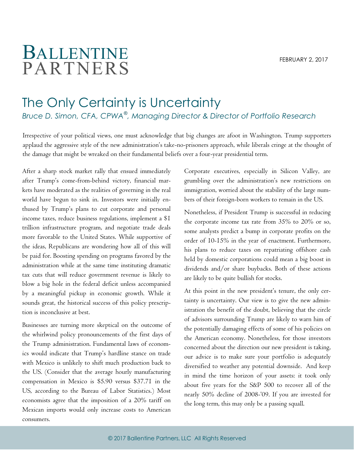## BALLENTINE PARTNERS

## The Only Certainty is Uncertainty

*Bruce D. Simon, CFA, CPWA*® *, Managing Director & Director of Portfolio Research*

Irrespective of your political views, one must acknowledge that big changes are afoot in Washington. Trump supporters applaud the aggressive style of the new administration's take-no-prisoners approach, while liberals cringe at the thought of the damage that might be wreaked on their fundamental beliefs over a four-year presidential term.

After a sharp stock market rally that ensued immediately after Trump's come-from-behind victory, financial markets have moderated as the realities of governing in the real world have begun to sink in. Investors were initially enthused by Trump's plans to cut corporate and personal income taxes, reduce business regulations, implement a \$1 trillion infrastructure program, and negotiate trade deals more favorable to the United States. While supportive of the ideas, Republicans are wondering how all of this will be paid for. Boosting spending on programs favored by the administration while at the same time instituting dramatic tax cuts that will reduce government revenue is likely to blow a big hole in the federal deficit unless accompanied by a meaningful pickup in economic growth. While it sounds great, the historical success of this policy prescription is inconclusive at best.

Businesses are turning more skeptical on the outcome of the whirlwind policy pronouncements of the first days of the Trump administration. Fundamental laws of economics would indicate that Trump's hardline stance on trade with Mexico is unlikely to shift much production back to the US. (Consider that the average hourly manufacturing compensation in Mexico is \$5.90 versus \$37.71 in the US, according to the Bureau of Labor Statistics.) Most economists agree that the imposition of a 20% tariff on Mexican imports would only increase costs to American consumers.

Corporate executives, especially in Silicon Valley, are grumbling over the administration's new restrictions on immigration, worried about the stability of the large numbers of their foreign-born workers to remain in the US.

Nonetheless, if President Trump is successful in reducing the corporate income tax rate from 35% to 20% or so, some analysts predict a bump in corporate profits on the order of 10-15% in the year of enactment. Furthermore, his plans to reduce taxes on repatriating offshore cash held by domestic corporations could mean a big boost in dividends and/or share buybacks. Both of these actions are likely to be quite bullish for stocks.

At this point in the new president's tenure, the only certainty is uncertainty. Our view is to give the new administration the benefit of the doubt, believing that the circle of advisors surrounding Trump are likely to warn him of the potentially damaging effects of some of his policies on the American economy. Nonetheless, for those investors concerned about the direction our new president is taking, our advice is to make sure your portfolio is adequately diversified to weather any potential downside. And keep in mind the time horizon of your assets: it took only about five years for the S&P 500 to recover all of the nearly 50% decline of 2008-'09. If you are invested for the long term, this may only be a passing squall.